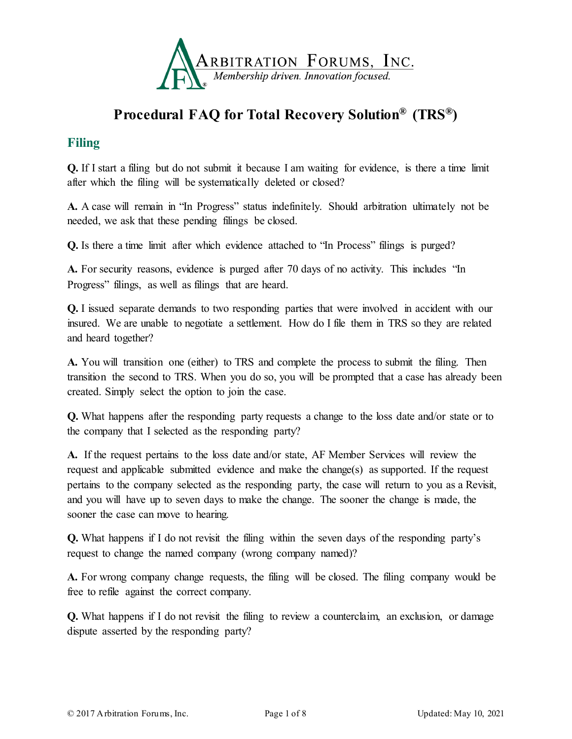

# **Procedural FAQ for Total Recovery Solution® (TRS®)**

### **Filing**

**Q.** If I start a filing but do not submit it because I am waiting for evidence, is there a time limit after which the filing will be systematically deleted or closed?

**A.** A case will remain in "In Progress" status indefinitely. Should arbitration ultimately not be needed, we ask that these pending filings be closed.

**Q.** Is there a time limit after which evidence attached to "In Process" filings is purged?

**A.** For security reasons, evidence is purged after 70 days of no activity. This includes "In Progress" filings, as well as filings that are heard.

**Q.** I issued separate demands to two responding parties that were involved in accident with our insured. We are unable to negotiate a settlement. How do I file them in TRS so they are related and heard together?

**A.** You will transition one (either) to TRS and complete the process to submit the filing. Then transition the second to TRS. When you do so, you will be prompted that a case has already been created. Simply select the option to join the case.

**Q.** What happens after the responding party requests a change to the loss date and/or state or to the company that I selected as the responding party?

**A.** If the request pertains to the loss date and/or state, AF Member Services will review the request and applicable submitted evidence and make the change(s) as supported. If the request pertains to the company selected as the responding party, the case will return to you as a Revisit, and you will have up to seven days to make the change. The sooner the change is made, the sooner the case can move to hearing.

**Q.** What happens if I do not revisit the filing within the seven days of the responding party's request to change the named company (wrong company named)?

**A.** For wrong company change requests, the filing will be closed. The filing company would be free to refile against the correct company.

**Q.** What happens if I do not revisit the filing to review a counterclaim, an exclusion, or damage dispute asserted by the responding party?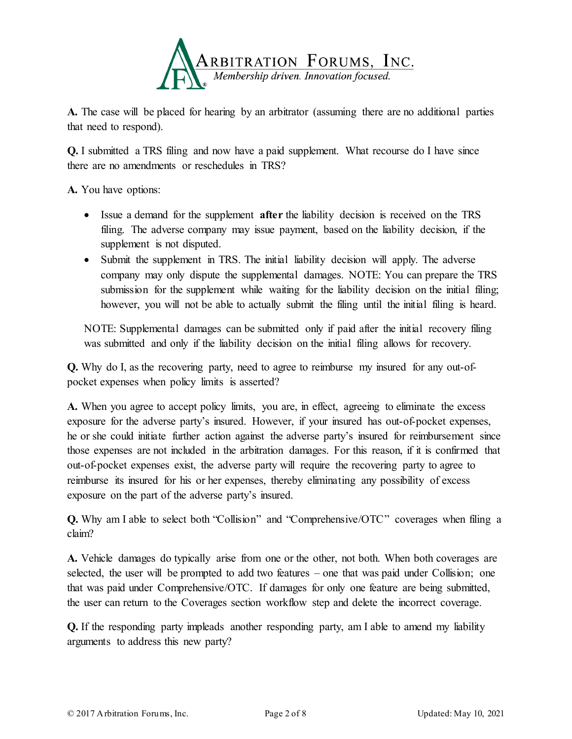

**A.** The case will be placed for hearing by an arbitrator (assuming there are no additional parties that need to respond).

**Q.** I submitted a TRS filing and now have a paid supplement. What recourse do I have since there are no amendments or reschedules in TRS?

**A.** You have options:

- Issue a demand for the supplement **after** the liability decision is received on the TRS filing. The adverse company may issue payment, based on the liability decision, if the supplement is not disputed.
- Submit the supplement in TRS. The initial liability decision will apply. The adverse company may only dispute the supplemental damages. NOTE: You can prepare the TRS submission for the supplement while waiting for the liability decision on the initial filing; however, you will not be able to actually submit the filing until the initial filing is heard.

NOTE: Supplemental damages can be submitted only if paid after the initial recovery filing was submitted and only if the liability decision on the initial filing allows for recovery.

**Q.** Why do I, as the recovering party, need to agree to reimburse my insured for any out-ofpocket expenses when policy limits is asserted?

**A.** When you agree to accept policy limits, you are, in effect, agreeing to eliminate the excess exposure for the adverse party's insured. However, if your insured has out-of-pocket expenses, he or she could initiate further action against the adverse party's insured for reimbursement since those expenses are not included in the arbitration damages. For this reason, if it is confirmed that out-of-pocket expenses exist, the adverse party will require the recovering party to agree to reimburse its insured for his or her expenses, thereby eliminating any possibility of excess exposure on the part of the adverse party's insured.

**Q.** Why am I able to select both "Collision" and "Comprehensive/OTC" coverages when filing a claim?

**A.** Vehicle damages do typically arise from one or the other, not both. When both coverages are selected, the user will be prompted to add two features – one that was paid under Collision; one that was paid under Comprehensive/OTC. If damages for only one feature are being submitted, the user can return to the Coverages section workflow step and delete the incorrect coverage.

**Q.** If the responding party impleads another responding party, am I able to amend my liability arguments to address this new party?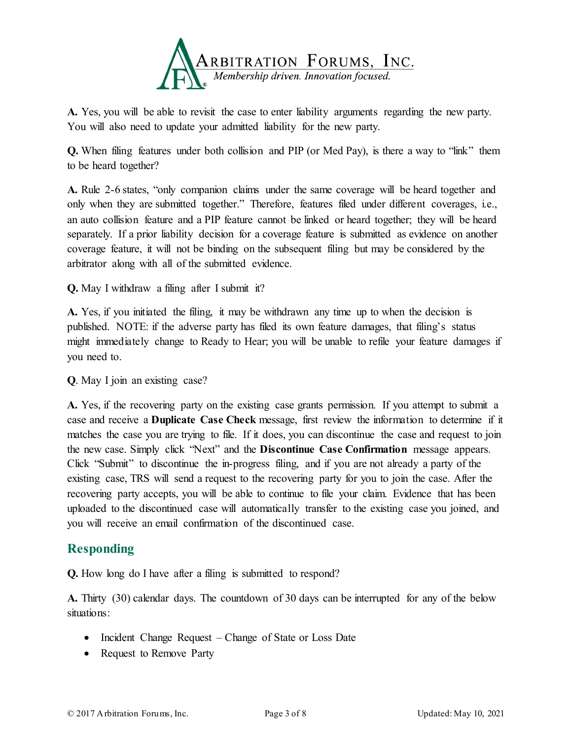

**A.** Yes, you will be able to revisit the case to enter liability arguments regarding the new party. You will also need to update your admitted liability for the new party.

**Q.** When filing features under both collision and PIP (or Med Pay), is there a way to "link" them to be heard together?

**A.** Rule 2-6 states, "only companion claims under the same coverage will be heard together and only when they are submitted together." Therefore, features filed under different coverages, i.e., an auto collision feature and a PIP feature cannot be linked or heard together; they will be heard separately. If a prior liability decision for a coverage feature is submitted as evidence on another coverage feature, it will not be binding on the subsequent filing but may be considered by the arbitrator along with all of the submitted evidence.

**Q.** May I withdraw a filing after I submit it?

**A.** Yes, if you initiated the filing, it may be withdrawn any time up to when the decision is published. NOTE: if the adverse party has filed its own feature damages, that filing's status might immediately change to Ready to Hear; you will be unable to refile your feature damages if you need to.

**Q**. May I join an existing case?

**A.** Yes, if the recovering party on the existing case grants permission. If you attempt to submit a case and receive a **Duplicate Case Check** message, first review the information to determine if it matches the case you are trying to file. If it does, you can discontinue the case and request to join the new case. Simply click "Next" and the **Discontinue Case Confirmation** message appears. Click "Submit" to discontinue the in-progress filing, and if you are not already a party of the existing case, TRS will send a request to the recovering party for you to join the case. After the recovering party accepts, you will be able to continue to file your claim. Evidence that has been uploaded to the discontinued case will automatically transfer to the existing case you joined, and you will receive an email confirmation of the discontinued case.

#### **Responding**

**Q.** How long do I have after a filing is submitted to respond?

**A.** Thirty (30) calendar days. The countdown of 30 days can be interrupted for any of the below situations:

- Incident Change Request Change of State or Loss Date
- Request to Remove Party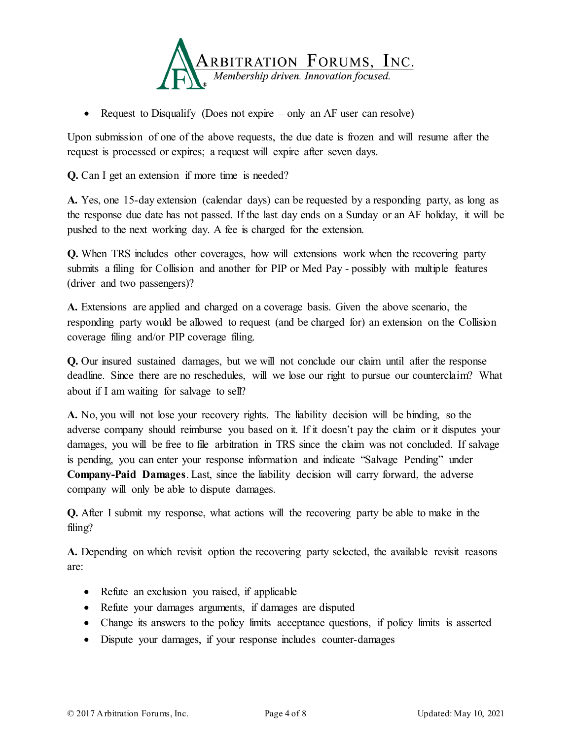

• Request to Disqualify (Does not expire – only an AF user can resolve)

Upon submission of one of the above requests, the due date is frozen and will resume after the request is processed or expires; a request will expire after seven days.

**Q.** Can I get an extension if more time is needed?

**A.** Yes, one 15-day extension (calendar days) can be requested by a responding party, as long as the response due date has not passed. If the last day ends on a Sunday or an AF holiday, it will be pushed to the next working day. A fee is charged for the extension.

**Q.** When TRS includes other coverages, how will extensions work when the recovering party submits a filing for Collision and another for PIP or Med Pay - possibly with multiple features (driver and two passengers)?

**A.** Extensions are applied and charged on a coverage basis. Given the above scenario, the responding party would be allowed to request (and be charged for) an extension on the Collision coverage filing and/or PIP coverage filing.

**Q.** Our insured sustained damages, but we will not conclude our claim until after the response deadline. Since there are no reschedules, will we lose our right to pursue our counterclaim? What about if I am waiting for salvage to sell?

**A.** No, you will not lose your recovery rights. The liability decision will be binding, so the adverse company should reimburse you based on it. If it doesn't pay the claim or it disputes your damages, you will be free to file arbitration in TRS since the claim was not concluded. If salvage is pending, you can enter your response information and indicate "Salvage Pending" under **Company-Paid Damages**. Last, since the liability decision will carry forward, the adverse company will only be able to dispute damages.

**Q.** After I submit my response, what actions will the recovering party be able to make in the filing?

**A.** Depending on which revisit option the recovering party selected, the available revisit reasons are:

- Refute an exclusion you raised, if applicable
- Refute your damages arguments, if damages are disputed
- Change its answers to the policy limits acceptance questions, if policy limits is asserted
- Dispute your damages, if your response includes counter-damages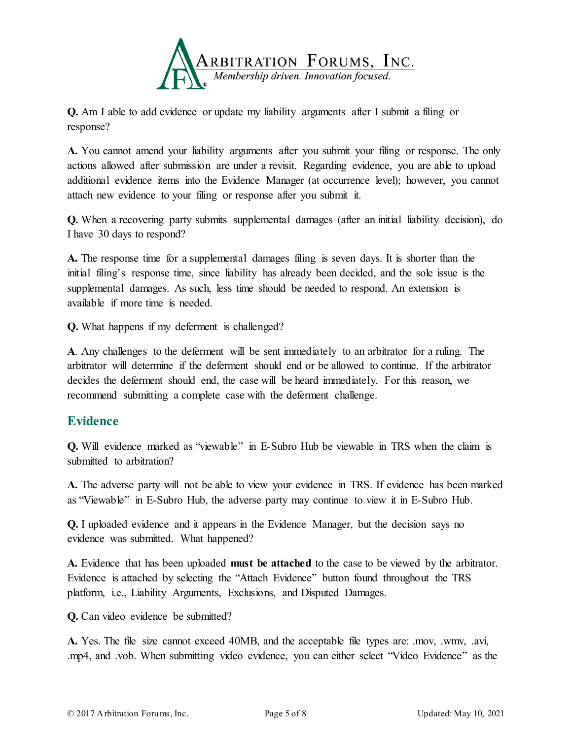

**Q.** Am I able to add evidence or update my liability arguments after I submit a filing or response?

**A.** You cannot amend your liability arguments after you submit your filing or response. The only actions allowed after submission are under a revisit. Regarding evidence, you are able to upload additional evidence items into the Evidence Manager (at occurrence level); however, you cannot attach new evidence to your filing or response after you submit it.

**Q.** When a recovering party submits supplemental damages (after an initial liability decision), do I have 30 days to respond?

**A.** The response time for a supplemental damages filing is seven days. It is shorter than the initial filing's response time, since liability has already been decided, and the sole issue is the supplemental damages. As such, less time should be needed to respond. An extension is available if more time is needed.

**Q.** What happens if my deferment is challenged?

**A**. Any challenges to the deferment will be sent immediately to an arbitrator for a ruling. The arbitrator will determine if the deferment should end or be allowed to continue. If the arbitrator decides the deferment should end, the case will be heard immediately. For this reason, we recommend submitting a complete case with the deferment challenge.

#### **Evidence**

**Q.** Will evidence marked as "viewable" in E-Subro Hub be viewable in TRS when the claim is submitted to arbitration?

**A.** The adverse party will not be able to view your evidence in TRS. If evidence has been marked as "Viewable" in E-Subro Hub, the adverse party may continue to view it in E-Subro Hub.

**Q.** I uploaded evidence and it appears in the Evidence Manager, but the decision says no evidence was submitted. What happened?

**A.** Evidence that has been uploaded **must be attached** to the case to be viewed by the arbitrator. Evidence is attached by selecting the "Attach Evidence" button found throughout the TRS platform, i.e., Liability Arguments, Exclusions, and Disputed Damages.

**Q.** Can video evidence be submitted?

**A.** Yes. The file size cannot exceed 40MB, and the acceptable file types are: .mov, .wmv, .avi, .mp4, and .vob. When submitting video evidence, you can either select "Video Evidence" as the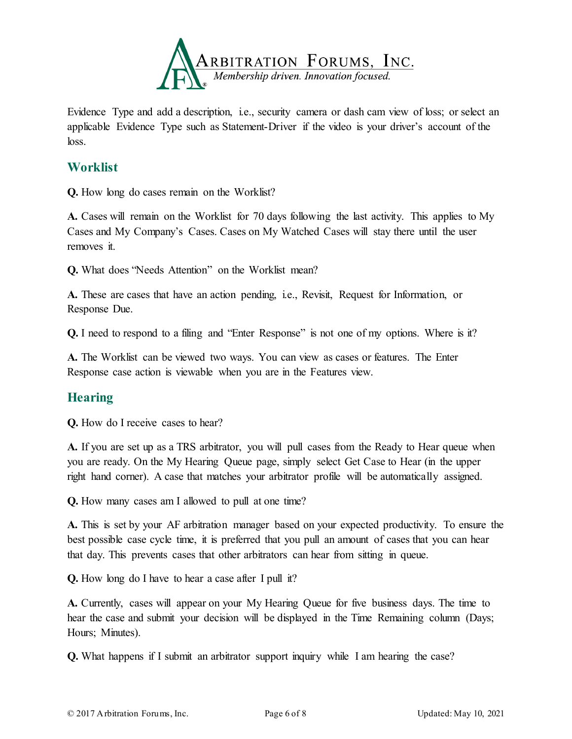

Evidence Type and add a description, i.e., security camera or dash cam view of loss; or select an applicable Evidence Type such as Statement-Driver if the video is your driver's account of the loss.

#### **Worklist**

**Q.** How long do cases remain on the Worklist?

**A.** Cases will remain on the Worklist for 70 days following the last activity. This applies to My Cases and My Company's Cases. Cases on My Watched Cases will stay there until the user removes it.

**Q.** What does "Needs Attention" on the Worklist mean?

A. These are cases that have an action pending, i.e., Revisit, Request for Information, or Response Due.

**Q.** I need to respond to a filing and "Enter Response" is not one of my options. Where is it?

**A.** The Worklist can be viewed two ways. You can view as cases or features. The Enter Response case action is viewable when you are in the Features view.

## **Hearing**

**Q.** How do I receive cases to hear?

**A.** If you are set up as a TRS arbitrator, you will pull cases from the Ready to Hear queue when you are ready. On the My Hearing Queue page, simply select Get Case to Hear (in the upper right hand corner). A case that matches your arbitrator profile will be automatically assigned.

**Q.** How many cases am I allowed to pull at one time?

**A.** This is set by your AF arbitration manager based on your expected productivity. To ensure the best possible case cycle time, it is preferred that you pull an amount of cases that you can hear that day. This prevents cases that other arbitrators can hear from sitting in queue.

**Q.** How long do I have to hear a case after I pull it?

**A.** Currently, cases will appear on your My Hearing Queue for five business days. The time to hear the case and submit your decision will be displayed in the Time Remaining column (Days; Hours; Minutes).

**Q.** What happens if I submit an arbitrator support inquiry while I am hearing the case?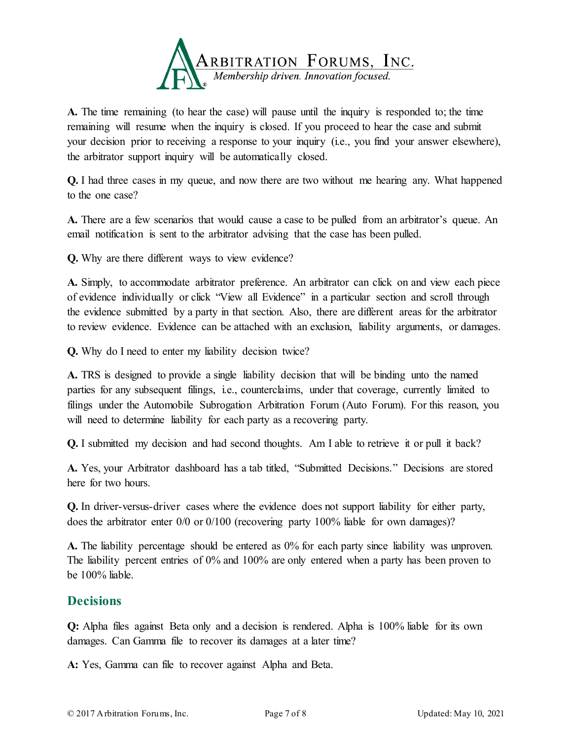

**A.** The time remaining (to hear the case) will pause until the inquiry is responded to; the time remaining will resume when the inquiry is closed. If you proceed to hear the case and submit your decision prior to receiving a response to your inquiry (i.e., you find your answer elsewhere), the arbitrator support inquiry will be automatically closed.

**Q.** I had three cases in my queue, and now there are two without me hearing any. What happened to the one case?

**A.** There are a few scenarios that would cause a case to be pulled from an arbitrator's queue. An email notification is sent to the arbitrator advising that the case has been pulled.

**Q.** Why are there different ways to view evidence?

**A.** Simply, to accommodate arbitrator preference. An arbitrator can click on and view each piece of evidence individually or click "View all Evidence" in a particular section and scroll through the evidence submitted by a party in that section. Also, there are different areas for the arbitrator to review evidence. Evidence can be attached with an exclusion, liability arguments, or damages.

**Q.** Why do I need to enter my liability decision twice?

**A.** TRS is designed to provide a single liability decision that will be binding unto the named parties for any subsequent filings, i.e., counterclaims, under that coverage, currently limited to filings under the Automobile Subrogation Arbitration Forum (Auto Forum). For this reason, you will need to determine liability for each party as a recovering party.

**Q.** I submitted my decision and had second thoughts. Am I able to retrieve it or pull it back?

**A.** Yes, your Arbitrator dashboard has a tab titled, "Submitted Decisions." Decisions are stored here for two hours.

**Q.** In driver-versus-driver cases where the evidence does not support liability for either party, does the arbitrator enter 0/0 or 0/100 (recovering party 100% liable for own damages)?

**A.** The liability percentage should be entered as 0% for each party since liability was unproven. The liability percent entries of 0% and 100% are only entered when a party has been proven to be 100% liable.

#### **Decisions**

**Q:** Alpha files against Beta only and a decision is rendered. Alpha is 100% liable for its own damages. Can Gamma file to recover its damages at a later time?

**A:** Yes, Gamma can file to recover against Alpha and Beta.